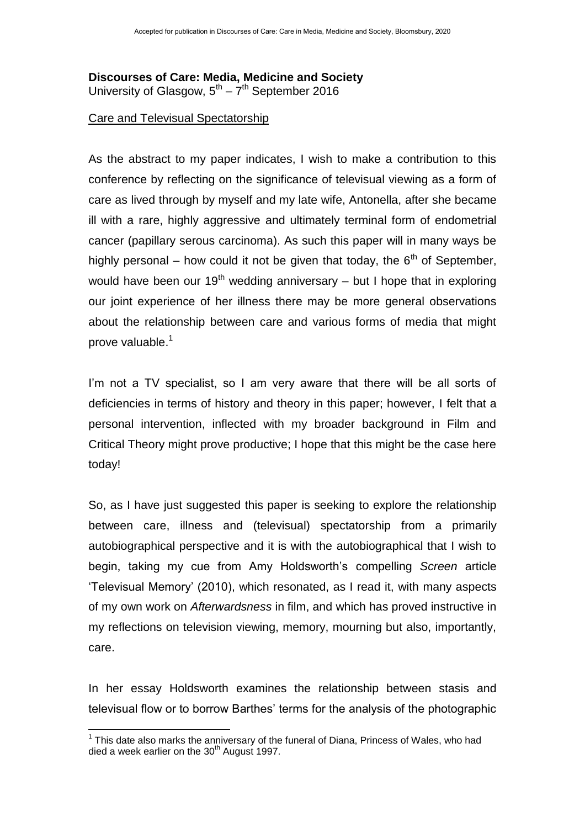## **Discourses of Care: Media, Medicine and Society**  University of Glasgow,  $5^{\text{th}} - 7^{\text{th}}$  September 2016

## Care and Televisual Spectatorship

As the abstract to my paper indicates, I wish to make a contribution to this conference by reflecting on the significance of televisual viewing as a form of care as lived through by myself and my late wife, Antonella, after she became ill with a rare, highly aggressive and ultimately terminal form of endometrial cancer (papillary serous carcinoma). As such this paper will in many ways be highly personal – how could it not be given that today, the  $6<sup>th</sup>$  of September, would have been our 19<sup>th</sup> wedding anniversary  $-$  but I hope that in exploring our joint experience of her illness there may be more general observations about the relationship between care and various forms of media that might prove valuable.<sup>1</sup>

I'm not a TV specialist, so I am very aware that there will be all sorts of deficiencies in terms of history and theory in this paper; however, I felt that a personal intervention, inflected with my broader background in Film and Critical Theory might prove productive; I hope that this might be the case here today!

So, as I have just suggested this paper is seeking to explore the relationship between care, illness and (televisual) spectatorship from a primarily autobiographical perspective and it is with the autobiographical that I wish to begin, taking my cue from Amy Holdsworth's compelling *Screen* article 'Televisual Memory' (2010), which resonated, as I read it, with many aspects of my own work on *Afterwardsness* in film, and which has proved instructive in my reflections on television viewing, memory, mourning but also, importantly, care.

In her essay Holdsworth examines the relationship between stasis and televisual flow or to borrow Barthes' terms for the analysis of the photographic

 $1$  This date also marks the anniversary of the funeral of Diana, Princess of Wales, who had died a week earlier on the 30<sup>th</sup> August 1997.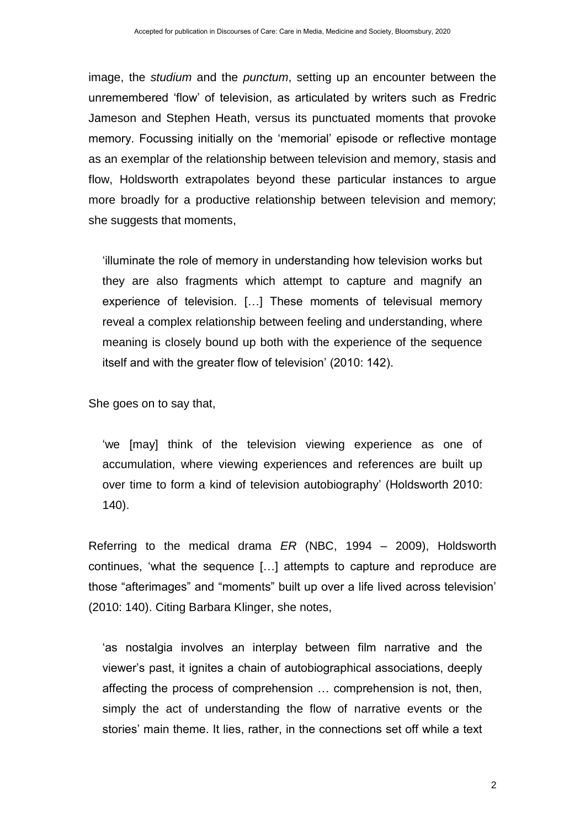image, the *studium* and the *punctum*, setting up an encounter between the unremembered 'flow' of television, as articulated by writers such as Fredric Jameson and Stephen Heath, versus its punctuated moments that provoke memory. Focussing initially on the 'memorial' episode or reflective montage as an exemplar of the relationship between television and memory, stasis and flow, Holdsworth extrapolates beyond these particular instances to argue more broadly for a productive relationship between television and memory; she suggests that moments,

'illuminate the role of memory in understanding how television works but they are also fragments which attempt to capture and magnify an experience of television. […] These moments of televisual memory reveal a complex relationship between feeling and understanding, where meaning is closely bound up both with the experience of the sequence itself and with the greater flow of television' (2010: 142).

She goes on to say that,

'we [may] think of the television viewing experience as one of accumulation, where viewing experiences and references are built up over time to form a kind of television autobiography' (Holdsworth 2010: 140).

Referring to the medical drama *ER* (NBC, 1994 – 2009), Holdsworth continues, 'what the sequence […] attempts to capture and reproduce are those "afterimages" and "moments" built up over a life lived across television' (2010: 140). Citing Barbara Klinger, she notes,

'as nostalgia involves an interplay between film narrative and the viewer's past, it ignites a chain of autobiographical associations, deeply affecting the process of comprehension … comprehension is not, then, simply the act of understanding the flow of narrative events or the stories' main theme. It lies, rather, in the connections set off while a text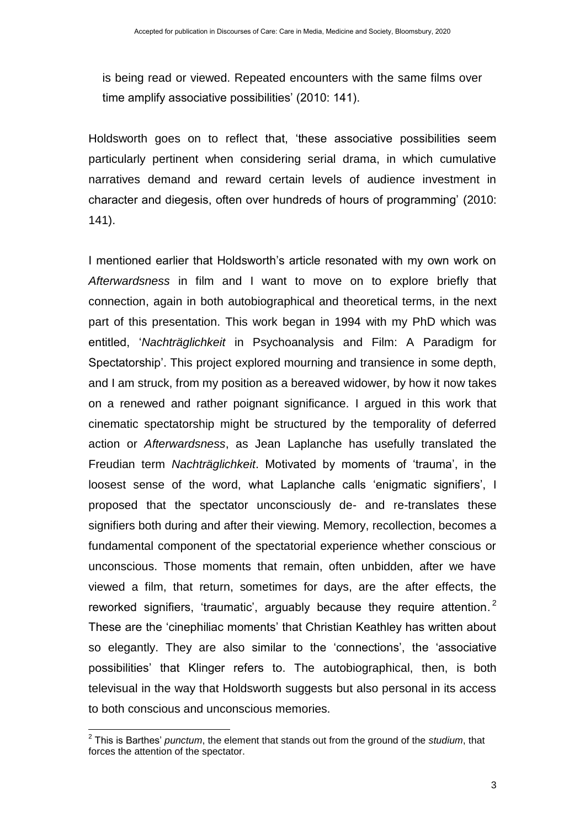is being read or viewed. Repeated encounters with the same films over time amplify associative possibilities' (2010: 141).

Holdsworth goes on to reflect that, 'these associative possibilities seem particularly pertinent when considering serial drama, in which cumulative narratives demand and reward certain levels of audience investment in character and diegesis, often over hundreds of hours of programming' (2010: 141).

I mentioned earlier that Holdsworth's article resonated with my own work on *Afterwardsness* in film and I want to move on to explore briefly that connection, again in both autobiographical and theoretical terms, in the next part of this presentation. This work began in 1994 with my PhD which was entitled, '*Nachträglichkeit* in Psychoanalysis and Film: A Paradigm for Spectatorship'. This project explored mourning and transience in some depth, and I am struck, from my position as a bereaved widower, by how it now takes on a renewed and rather poignant significance. I argued in this work that cinematic spectatorship might be structured by the temporality of deferred action or *Afterwardsness*, as Jean Laplanche has usefully translated the Freudian term *Nachträglichkeit*. Motivated by moments of 'trauma', in the loosest sense of the word, what Laplanche calls 'enigmatic signifiers', I proposed that the spectator unconsciously de- and re-translates these signifiers both during and after their viewing. Memory, recollection, becomes a fundamental component of the spectatorial experience whether conscious or unconscious. Those moments that remain, often unbidden, after we have viewed a film, that return, sometimes for days, are the after effects, the reworked signifiers, 'traumatic', arguably because they require attention.<sup>2</sup> These are the 'cinephiliac moments' that Christian Keathley has written about so elegantly. They are also similar to the 'connections', the 'associative possibilities' that Klinger refers to. The autobiographical, then, is both televisual in the way that Holdsworth suggests but also personal in its access to both conscious and unconscious memories.

 2 This is Barthes' *punctum*, the element that stands out from the ground of the *studium*, that forces the attention of the spectator.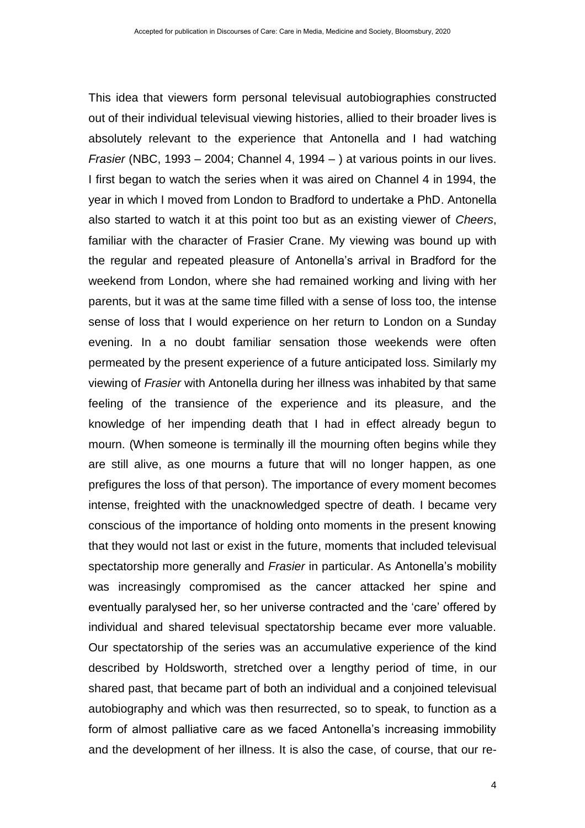This idea that viewers form personal televisual autobiographies constructed out of their individual televisual viewing histories, allied to their broader lives is absolutely relevant to the experience that Antonella and I had watching *Frasier* (NBC, 1993 – 2004; Channel 4, 1994 – ) at various points in our lives. I first began to watch the series when it was aired on Channel 4 in 1994, the year in which I moved from London to Bradford to undertake a PhD. Antonella also started to watch it at this point too but as an existing viewer of *Cheers*, familiar with the character of Frasier Crane. My viewing was bound up with the regular and repeated pleasure of Antonella's arrival in Bradford for the weekend from London, where she had remained working and living with her parents, but it was at the same time filled with a sense of loss too, the intense sense of loss that I would experience on her return to London on a Sunday evening. In a no doubt familiar sensation those weekends were often permeated by the present experience of a future anticipated loss. Similarly my viewing of *Frasier* with Antonella during her illness was inhabited by that same feeling of the transience of the experience and its pleasure, and the knowledge of her impending death that I had in effect already begun to mourn. (When someone is terminally ill the mourning often begins while they are still alive, as one mourns a future that will no longer happen, as one prefigures the loss of that person). The importance of every moment becomes intense, freighted with the unacknowledged spectre of death. I became very conscious of the importance of holding onto moments in the present knowing that they would not last or exist in the future, moments that included televisual spectatorship more generally and *Frasier* in particular. As Antonella's mobility was increasingly compromised as the cancer attacked her spine and eventually paralysed her, so her universe contracted and the 'care' offered by individual and shared televisual spectatorship became ever more valuable. Our spectatorship of the series was an accumulative experience of the kind described by Holdsworth, stretched over a lengthy period of time, in our shared past, that became part of both an individual and a conjoined televisual autobiography and which was then resurrected, so to speak, to function as a form of almost palliative care as we faced Antonella's increasing immobility and the development of her illness. It is also the case, of course, that our re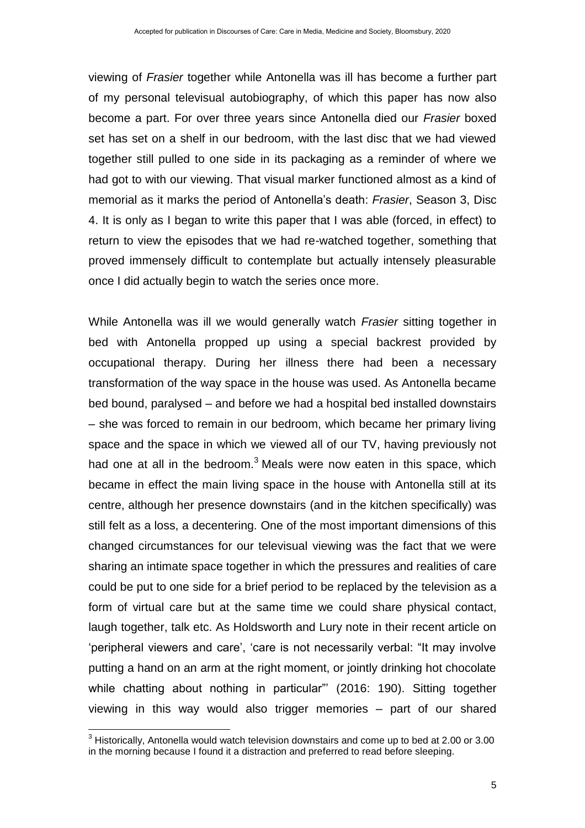viewing of *Frasier* together while Antonella was ill has become a further part of my personal televisual autobiography, of which this paper has now also become a part. For over three years since Antonella died our *Frasier* boxed set has set on a shelf in our bedroom, with the last disc that we had viewed together still pulled to one side in its packaging as a reminder of where we had got to with our viewing. That visual marker functioned almost as a kind of memorial as it marks the period of Antonella's death: *Frasier*, Season 3, Disc 4. It is only as I began to write this paper that I was able (forced, in effect) to return to view the episodes that we had re-watched together, something that proved immensely difficult to contemplate but actually intensely pleasurable once I did actually begin to watch the series once more.

While Antonella was ill we would generally watch *Frasier* sitting together in bed with Antonella propped up using a special backrest provided by occupational therapy. During her illness there had been a necessary transformation of the way space in the house was used. As Antonella became bed bound, paralysed – and before we had a hospital bed installed downstairs – she was forced to remain in our bedroom, which became her primary living space and the space in which we viewed all of our TV, having previously not had one at all in the bedroom.<sup>3</sup> Meals were now eaten in this space, which became in effect the main living space in the house with Antonella still at its centre, although her presence downstairs (and in the kitchen specifically) was still felt as a loss, a decentering. One of the most important dimensions of this changed circumstances for our televisual viewing was the fact that we were sharing an intimate space together in which the pressures and realities of care could be put to one side for a brief period to be replaced by the television as a form of virtual care but at the same time we could share physical contact, laugh together, talk etc. As Holdsworth and Lury note in their recent article on 'peripheral viewers and care', 'care is not necessarily verbal: "It may involve putting a hand on an arm at the right moment, or jointly drinking hot chocolate while chatting about nothing in particular" (2016: 190). Sitting together viewing in this way would also trigger memories – part of our shared

 3 Historically, Antonella would watch television downstairs and come up to bed at 2.00 or 3.00 in the morning because I found it a distraction and preferred to read before sleeping.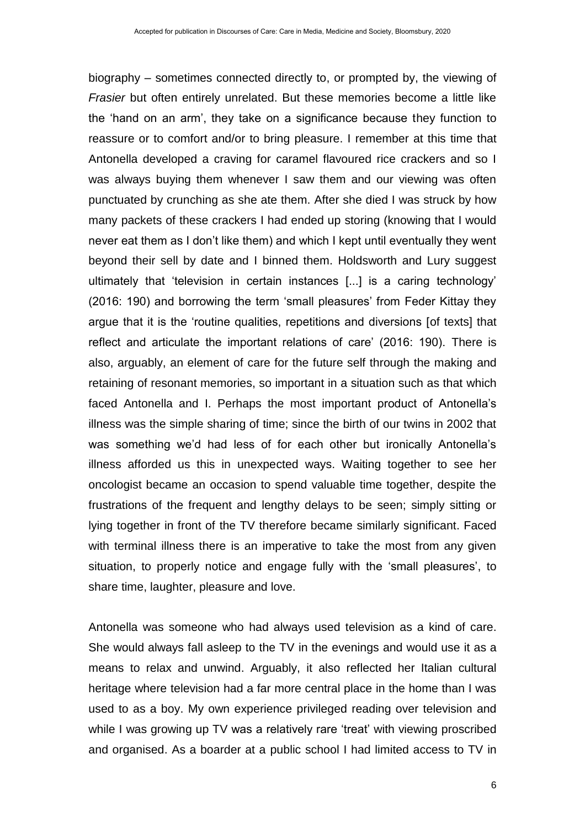biography – sometimes connected directly to, or prompted by, the viewing of *Frasier* but often entirely unrelated. But these memories become a little like the 'hand on an arm', they take on a significance because they function to reassure or to comfort and/or to bring pleasure. I remember at this time that Antonella developed a craving for caramel flavoured rice crackers and so I was always buying them whenever I saw them and our viewing was often punctuated by crunching as she ate them. After she died I was struck by how many packets of these crackers I had ended up storing (knowing that I would never eat them as I don't like them) and which I kept until eventually they went beyond their sell by date and I binned them. Holdsworth and Lury suggest ultimately that 'television in certain instances [...] is a caring technology' (2016: 190) and borrowing the term 'small pleasures' from Feder Kittay they argue that it is the 'routine qualities, repetitions and diversions [of texts] that reflect and articulate the important relations of care' (2016: 190). There is also, arguably, an element of care for the future self through the making and retaining of resonant memories, so important in a situation such as that which faced Antonella and I. Perhaps the most important product of Antonella's illness was the simple sharing of time; since the birth of our twins in 2002 that was something we'd had less of for each other but ironically Antonella's illness afforded us this in unexpected ways. Waiting together to see her oncologist became an occasion to spend valuable time together, despite the frustrations of the frequent and lengthy delays to be seen; simply sitting or lying together in front of the TV therefore became similarly significant. Faced with terminal illness there is an imperative to take the most from any given situation, to properly notice and engage fully with the 'small pleasures', to share time, laughter, pleasure and love.

Antonella was someone who had always used television as a kind of care. She would always fall asleep to the TV in the evenings and would use it as a means to relax and unwind. Arguably, it also reflected her Italian cultural heritage where television had a far more central place in the home than I was used to as a boy. My own experience privileged reading over television and while I was growing up TV was a relatively rare 'treat' with viewing proscribed and organised. As a boarder at a public school I had limited access to TV in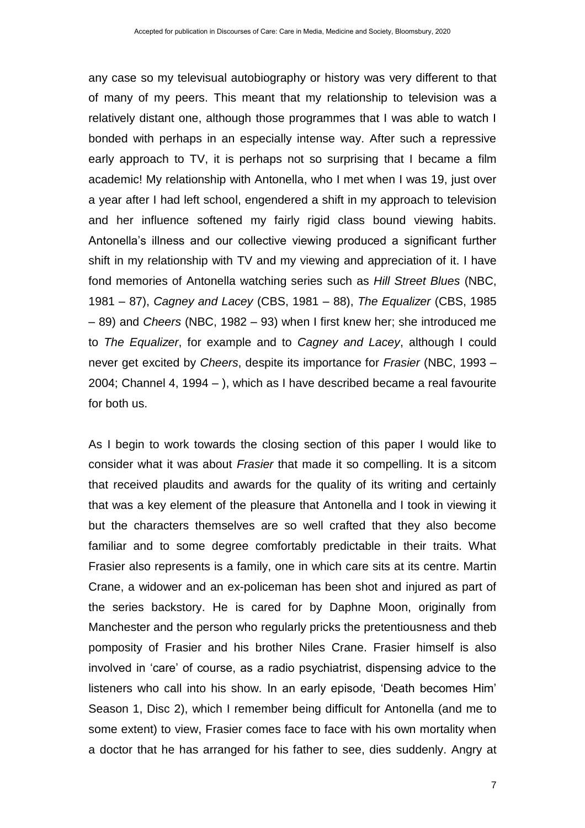any case so my televisual autobiography or history was very different to that of many of my peers. This meant that my relationship to television was a relatively distant one, although those programmes that I was able to watch I bonded with perhaps in an especially intense way. After such a repressive early approach to TV, it is perhaps not so surprising that I became a film academic! My relationship with Antonella, who I met when I was 19, just over a year after I had left school, engendered a shift in my approach to television and her influence softened my fairly rigid class bound viewing habits. Antonella's illness and our collective viewing produced a significant further shift in my relationship with TV and my viewing and appreciation of it. I have fond memories of Antonella watching series such as *Hill Street Blues* (NBC, 1981 – 87), *Cagney and Lacey* (CBS, 1981 – 88), *The Equalizer* (CBS, 1985 – 89) and *Cheers* (NBC, 1982 – 93) when I first knew her; she introduced me to *The Equalizer*, for example and to *Cagney and Lacey*, although I could never get excited by *Cheers*, despite its importance for *Frasier* (NBC, 1993 – 2004; Channel 4, 1994 – ), which as I have described became a real favourite for both us.

As I begin to work towards the closing section of this paper I would like to consider what it was about *Frasier* that made it so compelling. It is a sitcom that received plaudits and awards for the quality of its writing and certainly that was a key element of the pleasure that Antonella and I took in viewing it but the characters themselves are so well crafted that they also become familiar and to some degree comfortably predictable in their traits. What Frasier also represents is a family, one in which care sits at its centre. Martin Crane, a widower and an ex-policeman has been shot and injured as part of the series backstory. He is cared for by Daphne Moon, originally from Manchester and the person who regularly pricks the pretentiousness and theb pomposity of Frasier and his brother Niles Crane. Frasier himself is also involved in 'care' of course, as a radio psychiatrist, dispensing advice to the listeners who call into his show. In an early episode, 'Death becomes Him' Season 1, Disc 2), which I remember being difficult for Antonella (and me to some extent) to view, Frasier comes face to face with his own mortality when a doctor that he has arranged for his father to see, dies suddenly. Angry at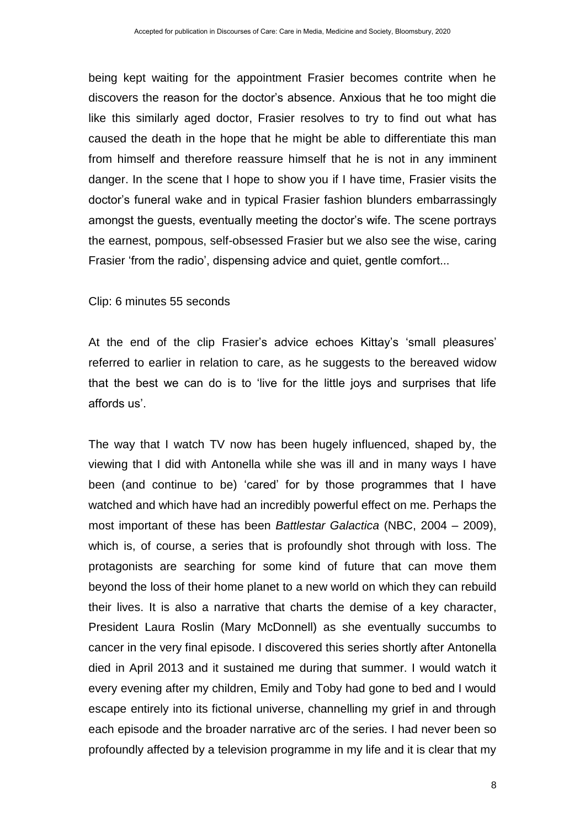being kept waiting for the appointment Frasier becomes contrite when he discovers the reason for the doctor's absence. Anxious that he too might die like this similarly aged doctor, Frasier resolves to try to find out what has caused the death in the hope that he might be able to differentiate this man from himself and therefore reassure himself that he is not in any imminent danger. In the scene that I hope to show you if I have time, Frasier visits the doctor's funeral wake and in typical Frasier fashion blunders embarrassingly amongst the guests, eventually meeting the doctor's wife. The scene portrays the earnest, pompous, self-obsessed Frasier but we also see the wise, caring Frasier 'from the radio', dispensing advice and quiet, gentle comfort...

## Clip: 6 minutes 55 seconds

At the end of the clip Frasier's advice echoes Kittay's 'small pleasures' referred to earlier in relation to care, as he suggests to the bereaved widow that the best we can do is to 'live for the little joys and surprises that life affords us'.

The way that I watch TV now has been hugely influenced, shaped by, the viewing that I did with Antonella while she was ill and in many ways I have been (and continue to be) 'cared' for by those programmes that I have watched and which have had an incredibly powerful effect on me. Perhaps the most important of these has been *Battlestar Galactica* (NBC, 2004 – 2009), which is, of course, a series that is profoundly shot through with loss. The protagonists are searching for some kind of future that can move them beyond the loss of their home planet to a new world on which they can rebuild their lives. It is also a narrative that charts the demise of a key character, President Laura Roslin (Mary McDonnell) as she eventually succumbs to cancer in the very final episode. I discovered this series shortly after Antonella died in April 2013 and it sustained me during that summer. I would watch it every evening after my children, Emily and Toby had gone to bed and I would escape entirely into its fictional universe, channelling my grief in and through each episode and the broader narrative arc of the series. I had never been so profoundly affected by a television programme in my life and it is clear that my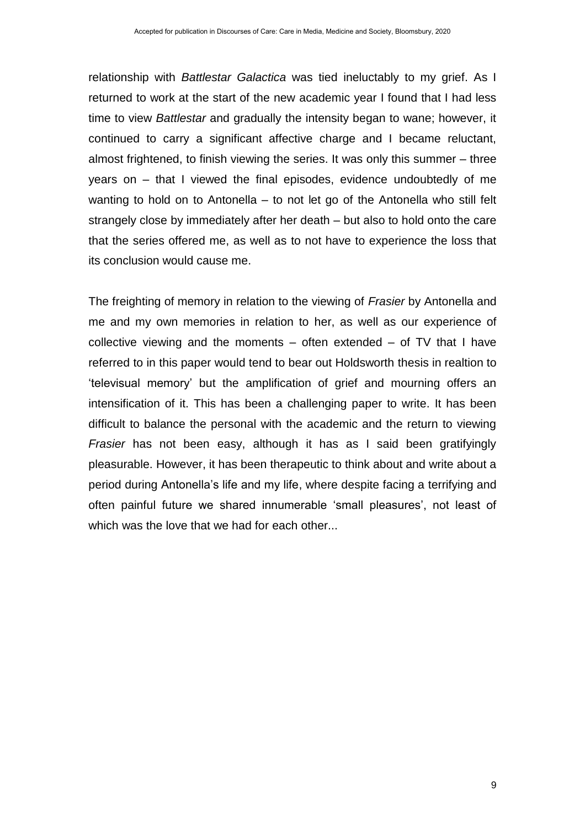relationship with *Battlestar Galactica* was tied ineluctably to my grief. As I returned to work at the start of the new academic year I found that I had less time to view *Battlestar* and gradually the intensity began to wane; however, it continued to carry a significant affective charge and I became reluctant, almost frightened, to finish viewing the series. It was only this summer – three years on – that I viewed the final episodes, evidence undoubtedly of me wanting to hold on to Antonella – to not let go of the Antonella who still felt strangely close by immediately after her death – but also to hold onto the care that the series offered me, as well as to not have to experience the loss that its conclusion would cause me.

The freighting of memory in relation to the viewing of *Frasier* by Antonella and me and my own memories in relation to her, as well as our experience of collective viewing and the moments – often extended – of TV that I have referred to in this paper would tend to bear out Holdsworth thesis in realtion to 'televisual memory' but the amplification of grief and mourning offers an intensification of it. This has been a challenging paper to write. It has been difficult to balance the personal with the academic and the return to viewing *Frasier* has not been easy, although it has as I said been gratifyingly pleasurable. However, it has been therapeutic to think about and write about a period during Antonella's life and my life, where despite facing a terrifying and often painful future we shared innumerable 'small pleasures', not least of which was the love that we had for each other...